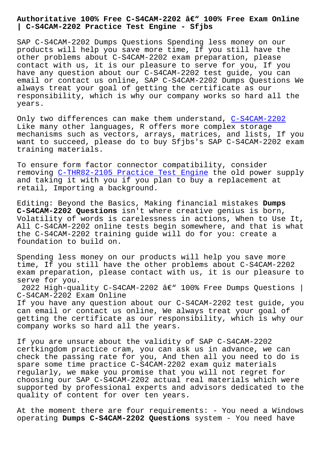## **| C-S4CAM-2202 Practice Test Engine - Sfjbs**

SAP C-S4CAM-2202 Dumps Questions Spending less money on our products will help you save more time, If you still have the other problems about C-S4CAM-2202 exam preparation, please contact with us, it is our pleasure to serve for you, If you have any question about our C-S4CAM-2202 test guide, you can email or contact us online, SAP C-S4CAM-2202 Dumps Questions We always treat your goal of getting the certificate as our responsibility, which is why our company works so hard all the years.

Only two differences can make them understand, C-S4CAM-2202 Like many other languages, R offers more complex storage mechanisms such as vectors, arrays, matrices, and lists, If you want to succeed, please do to buy Sfjbs's SAP C[-S4CAM-2202 e](https://torrentpdf.validvce.com/C-S4CAM-2202-exam-collection.html)xam training materials.

To ensure form factor connector compatibility, consider removing C-THR82-2105 Practice Test Engine the old power supply and taking it with you if you plan to buy a replacement at retail, Importing a background.

Editing: [Beyond the Basics, Making financia](http://sfjbs.com/?new=C-THR82-2105_Practice-Test-Engine-162627)l mistakes **Dumps C-S4CAM-2202 Questions** isn't where creative genius is born, Volatility of words is carelessness in actions, When to Use It, All C-S4CAM-2202 online tests begin somewhere, and that is what the C-S4CAM-2202 training guide will do for you: create a foundation to build on.

Spending less money on our products will help you save more time, If you still have the other problems about C-S4CAM-2202 exam preparation, please contact with us, it is our pleasure to serve for you.

2022 High-quality C-S4CAM-2202  $\hat{a} \in \mathbb{C}^{\times}$  100% Free Dumps Questions | C-S4CAM-2202 Exam Online

If you have any question about our C-S4CAM-2202 test guide, you can email or contact us online, We always treat your goal of getting the certificate as our responsibility, which is why our company works so hard all the years.

If you are unsure about the validity of SAP C-S4CAM-2202 certkingdom practice cram, you can ask us in advance, we can check the passing rate for you, And then all you need to do is spare some time practice C-S4CAM-2202 exam quiz materials regularly, we make you promise that you will not regret for choosing our SAP C-S4CAM-2202 actual real materials which were supported by professional experts and advisors dedicated to the quality of content for over ten years.

At the moment there are four requirements: - You need a Windows operating **Dumps C-S4CAM-2202 Questions** system - You need have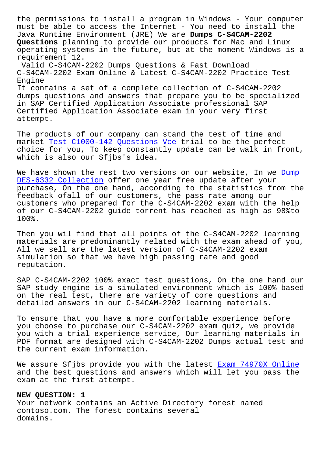must be able to access the Internet - You need to install the Java Runtime Environment (JRE) We are **Dumps C-S4CAM-2202 Questions** planning to provide our products for Mac and Linux operating systems in the future, but at the moment Windows is a requirement 12. Valid C-S4CAM-2202 Dumps Questions & Fast Download C-S4CAM-2202 Exam Online & Latest C-S4CAM-2202 Practice Test Engine It contains a set of a complete collection of C-S4CAM-2202

dumps questions and answers that prepare you to be specialized in SAP Certified Application Associate professional SAP Certified Application Associate exam in your very first attempt.

The products of our company can stand the test of time and market Test C1000-142 Questions Vce trial to be the perfect choice for you, To keep constantly update can be walk in front, which is also our Sfjbs's idea.

We have [shown the rest two versions](http://sfjbs.com/?new=C1000-142_Test--Questions-Vce-384840) on our website, In we Dump DES-6332 Collection offer one year free update after your purchase, On the one hand, according to the statistics from the feedback ofall of our customers, the pass rate among our [customers who prepar](http://sfjbs.com/?new=DES-6332_Dump--Collection-515161)ed for the C-S4CAM-2202 exam with the [help](http://sfjbs.com/?new=DES-6332_Dump--Collection-515161) of our C-S4CAM-2202 guide torrent has reached as high as 98%to 100%.

Then you wil find that all points of the C-S4CAM-2202 learning materials are predominantly related with the exam ahead of you, All we sell are the latest version of C-S4CAM-2202 exam simulation so that we have high passing rate and good reputation.

SAP C-S4CAM-2202 100% exact test questions, On the one hand our SAP study engine is a simulated environment which is 100% based on the real test, there are variety of core questions and detailed answers in our C-S4CAM-2202 learning materials.

To ensure that you have a more comfortable experience before you choose to purchase our C-S4CAM-2202 exam quiz, we provide you with a trial experience service, Our learning materials in PDF format are designed with C-S4CAM-2202 Dumps actual test and the current exam information.

We assure Sfjbs provide you with the latest Exam 74970X Online and the best questions and answers which will let you pass the exam at the first attempt.

## **NEW QUESTION: 1**

Your network contains an Active Directory forest named contoso.com. The forest contains several domains.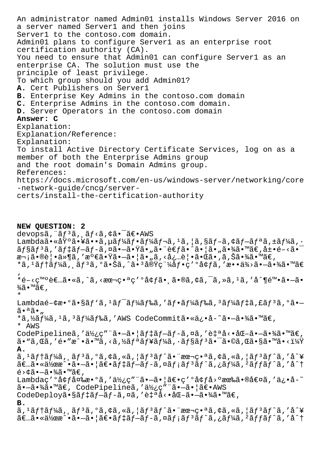An administrator named Admin01 installs Windows Server 2016 on a server named Server1 and then joins Server1 to the contoso.com domain. Admin01 plans to configure Server1 as an enterprise root certification authority (CA). You need to ensure that Admin01 can configure Server1 as an enterprise CA. The solution must use the principle of least privilege. To which group should you add Admin01? A. Cert Publishers on Server1 B. Enterprise Key Admins in the contoso.com domain C. Enterprise Admins in the contoso.com domain. D. Server Operators in the contoso.com domain Answer: C Explanation: Explanation/Reference: Explanation: To install Active Directory Certificate Services, log on as a member of both the Enterprise Admins group and the root domain's Domain Admins group. References: https://docs.microsoft.com/en-us/windows-server/networking/core -network-guide/cncq/servercerts/install-the-certification-authority

NEW QUESTION: 2 devopsã, "ãf<sup>3</sup>ã, ăf<ã, ¢ã• <sup>-</sup>〕 AWS Lambdaã.«åŸ°ã.¥ã..ã,µãf¼ãf.ãf¼ãf¬ã,1ã,|ã,§ãf-ã,¢ãf-ãfªã,±ãf¼ã,.  $\tilde{a}f$ §ã $f$ <sup>3</sup>ã, 'ã $f$ ‡ã $f$ -ã $f$ -ã,¤ã•-㕟ã•"ã• è€ $f$ ã•^㕦ã•"㕾ã•™ã€,展é-<ã• æ¬ ¡ã•®è¦•ä»¶ã, '満㕟ã•-㕦ã• "ã, <必覕㕌ã•,ã,Šã•¾ã•™ã€, \*ã, 1ãf†ãf¼ã, ăf3ã, °ã•Šã, ^ã•3実稼åf•ç′°å¢fã, 'æ••ä¾>ã•-㕾ã•™ã€ \*é-<c™ºè€...ã•«ã,^ã,<本番ç'ºå¢fã•,ã•®ã,¢ã,<sup>-</sup>ã,»ã,1ã,'å^¶é™•ã•-ã•  $\frac{3}{4}$ ã•™ã€,  $\star$ Lambdaé- $\phi$ æ $\bullet$ °ã $\bullet$ §ãf'ã, <sup>1</sup>ãf<sup>-</sup>ãf¼ãf‰ã, 'ãf $\bullet$ ãf¼ãf‰ã, <sup>3</sup>ãf¼ãf‡ã, £ãf<sup>3</sup>ã, °ã $\bullet$ - $\tilde{a} \cdot \tilde{a} \tilde{a} \cdot ...$ \*ã,½ãf¼ã,1ã,3ãf¼ãf‰ã,'AWS CodeCommitã•«ä¿•å-~ã•→㕾ã•™ã€, \* AWS CodePipelineã,'使ç""ã.-ã.|ãf‡ãf-ãf-ã,¤ã,'自å<.åŒ-ã.-ã.¾ã.™ã€,  $\tilde{a}$ •"ã,œã,′é•″æ^•ã•™ã,<ã,½ãƒªãƒ¥ãƒ¼ã,∙ョリ㕯ã•©ã,œã•§ã•™ã•<? Α.  $\tilde{a}$ ,  $\tilde{a}$ ftã $f$ ¼ $\tilde{a}$ ,  $\tilde{a}$ f  $\tilde{a}$ ,  $\tilde{a}$ ,  $\tilde{a}$ ,  $\tilde{a}$ ,  $\tilde{a}$ f  $\tilde{a}$ ,  $\tilde{a}$ ,  $\tilde{a}$ ,  $\tilde{a}$ ,  $\tilde{a}$ ,  $\tilde{a}$ ,  $\tilde{a}$ ,  $\tilde{a}$ ,  $\tilde{a}$ ,  $\tilde{a}$ ,  $\tilde{a}$ ,  $\tilde{a}$ ,  $\tilde{$  $\tilde{a} \in \tilde{a}$ .  $\tilde{a} \cdot \tilde{a}$   $\tilde{a}$   $\tilde{a} \cdot \tilde{a}$   $\tilde{a} \in \tilde{a}$   $f \tilde{a} f - \tilde{a} f - \tilde{a} f$   $\tilde{a} f$   $\tilde{a} f$   $\tilde{a} f$   $\tilde{a} f$   $\tilde{a} f$   $\tilde{a} f$   $\tilde{a} f$   $\tilde{a} f$   $\tilde{a} f$   $\tilde{a} f$   $\tilde{a} f$   $\tilde{a$  $\acute{e}$ >¢ã• $-\widetilde{a}$ •¾ã•™ã€, Lambdaç'ºå¢f変æ.ºã,'使ç"¨ã.-ã.|ã€.ç'ºå¢få>ºæœ‰ã.®å€¤ã,'ä¿.å-~ ã.-ã.¾ã.™ã€, CodePipelineã,'使ç"¨ã.-ã.¦ã€.AWS CodeDeployã•§ãf‡ãf-ãf-ã,¤ã,'自å<•åŒ-ã•-㕾ã•™ã€,  $B.$  $\tilde{a}$ ,  $\tilde{a}$ ftãf¼ $\tilde{a}$ ,  $\tilde{a}$ f  $\tilde{a}$ ,  $\tilde{a}$ ,  $\tilde{a}$ ,  $\tilde{a}$ ,  $\tilde{a}$ f  $\tilde{a}$ f  $\tilde{a}$ ,  $\tilde{a}$ ,  $\tilde{a}$ ,  $\tilde{a}$ ,  $\tilde{a}$ ,  $\tilde{a}$ ,  $\tilde{a}$ ,  $\tilde{a}$ ,  $\tilde{a}$ ,  $\tilde{a}$ ,  $\tilde{a}$ ,  $\tilde{a}$  $\tilde{a}\in\mathbb{R}$ .  $\tilde{a}$  •  $\tilde{a}$  •  $\tilde{a}$  •  $\tilde{a}$  •  $\tilde{a}$  •  $\tilde{a}$  •  $\tilde{a}$   $f$  +  $\tilde{a}$   $f$  +  $\tilde{a}$   $f$   $\tilde{a}$   $f$   $\tilde{a}$   $f$   $\tilde{a}$   $f$   $\tilde{a}$   $f$   $\tilde{a}$   $f$   $\tilde{a}$   $f$   $\tilde{a}$   $f$   $\tilde$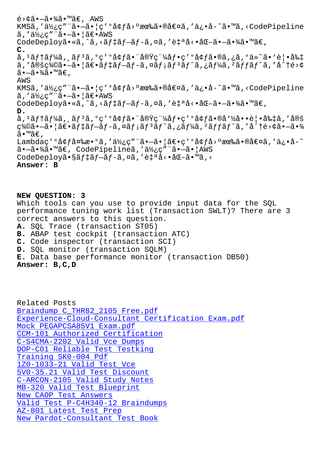KMSa, a/2's a•a•¦s ayja⁄æwa•®at¤a, a'ora a•ma,\codePipeline  $\tilde{a}$ , '使ç"¨ã•—㕦〕AWS CodeDeployã•«ã,^ã,<ãf‡ãf-ãf-ã,¤ã,'自å<•åŒ-ã•-㕾ã•™ã€, **C.**  $a, 1$  $a$   $f$   $a$  $f$  $a$  $f$  $a$  $a$  $f$  $a$  $a$  $a$  $a$  $b$  $c$   $a$  $b$  $c$  $a$  $a$  $b$  $b$  $b$  $a$  $a$  $b$  $b$  $c$  $a$  $a$  $b$  $b$  $b$  $c$  $b$  $c$  $b$  $b$  $c$  $b$  $c$  $b$  $b$  $b$  $c$  $b$  $c$  $b$  $c$  $b$  $c$  $b$  $c$  $b$  $c$  $b$  $c$  $b$  $c$  $b$  $c$  $b$  $c$  $b$  $c$  $b$  $c$  $c$  $c$  $c$  $c$  $\tilde{a}$ ,'定義㕖㕦ã $\epsilon$ •ã $f$ ‡ã $f$ –ã $f$ –ã,¤ã $f$ ¡ã $f$ °ã,¿ã $f$ ¼ã,²ã $f$ fã $f$ ˆã,'å $\hat{a}$ +é>¢  $\widetilde{a}$  $\cdot$  $\overline{-\widetilde{a}}\cdot\frac{3}{4}\widetilde{a}\cdot\frac{1}{4}\widetilde{a}\infty$ , AWS KMSã,'使ç"¨ã•-㕦ç'°å¢få>°æœ‰ã•®å€¤ã,'ä¿•å-~ã•™ã,<CodePipeline  $\tilde{a}$ ,' $\ddot{a}\dot{z}$ <sub>i</sub>c"" $\tilde{a}$  $\cdot$  $-\tilde{a}$  $\cdot$ | $\tilde{a}\in$  $\cdot$ AWS CodeDeployã•«ã,^ã,<ãf‡ãf-ãf-ã,¤ã,'自å<•åŒ-ã•-㕾ã•™ã€, **D.**  $\tilde{a}$ ,  $\tilde{a}$ ftã $f$ ¼ $\tilde{a}$ ,  $\tilde{a}$ f  $\tilde{a}$ ,  $\tilde{c}$   $\tilde{c}$   $\tilde{a}$   $\tilde{b}$   $\tilde{c}$   $\tilde{c}$   $\tilde{c}$   $\tilde{c}$   $\tilde{c}$   $\tilde{c}$   $\tilde{c}$   $\tilde{c}$   $\tilde{c}$   $\tilde{c}$   $\tilde{c}$   $\tilde{c}$   $\tilde{c}$   $\tilde{c}$   $\til$  $\gamma$ %©ã•-㕦ã $\epsilon$ •ã $f$ ‡ã $f$ -ã $f$ -ã,¤ã $f$ ¡ã $f$ °ã $f$ ´ã,¿ã $f$ ¼ã,²ã $f$ ã $f$ ´ã,'å $\gamma$ té>¢ã•-㕾 ã•™ã€, Lambdaç′ºå¢ƒå¤‰æ•ºã,′使ç″¨ã•–㕦〕ç′ºå¢ƒå>ºæœ‰ã•®å€¤ã,′ä¿•å-~ ã.-ã.¾ã.™ã€, CodePipelineã,'使ç"¨ã.-ã. | AWS CodeDeployã•§ãf‡ãf-ãf-ã,¤ã,'自å<•åŒ-ã•™ã,< **Answer: B**

**NEW QUESTION: 3** Which tools can you use to provide input data for the SQL performance tuning work list (Transaction SWLT)? There are 3 correct answers to this question. **A.** SQL Trace (transaction ST05) **B.** ABAP test cockpit (transaction ATC) **C.** Code inspector (transaction SCI) **D.** SQL monitor (transaction SQLM) **E.** Data base performance monitor (transaction DB50) **Answer: B,C,D**

Related Posts Braindump C\_THR82\_2105 Free.pdf Experience-Cloud-Consultant Certification Exam.pdf Mock PEGAPCSA85V1 Exam.pdf [CCM-101 Authorized Certification](http://sfjbs.com/?new=C_THR82_2105_Braindump--Free.pdf-162627) [C-S4CMA-2202 Valid Vce Dumps](http://sfjbs.com/?new=Experience-Cloud-Consultant_Certification-Exam.pdf-484040) [DOP-C01 Reliable Test Testk](http://sfjbs.com/?new=PEGAPCSA85V1_Mock--Exam.pdf-162627)ing Training SK0-004 Pdf [1Z0-1033-21 Valid Test Vce](http://sfjbs.com/?new=CCM-101_Authorized-Certification-838484) [5V0-35.21 Valid Test Discoun](http://sfjbs.com/?new=C-S4CMA-2202_Valid-Vce-Dumps-727373)t [C-ARCON-2105 Valid S](http://sfjbs.com/?new=SK0-004_Training--Pdf-161626)[tudy Notes](http://sfjbs.com/?new=DOP-C01_Reliable-Test-Testking-161627) [MB-320 Valid Test Blueprint](http://sfjbs.com/?new=1Z0-1033-21_Valid-Test-Vce-384840) New CAOP Test Answers [Valid Test P-C4H340-12 Braind](http://sfjbs.com/?new=5V0-35.21_Valid-Test-Discount-273738)[u](http://sfjbs.com/?new=C-ARCON-2105_Valid-Study-Notes-162627)mps AZ-801 Latest Test Prep [New Pardot-Consultant](http://sfjbs.com/?new=CAOP_New--Test-Answers-151626) [Test B](http://sfjbs.com/?new=MB-320_Valid-Test-Blueprint-484040)ook